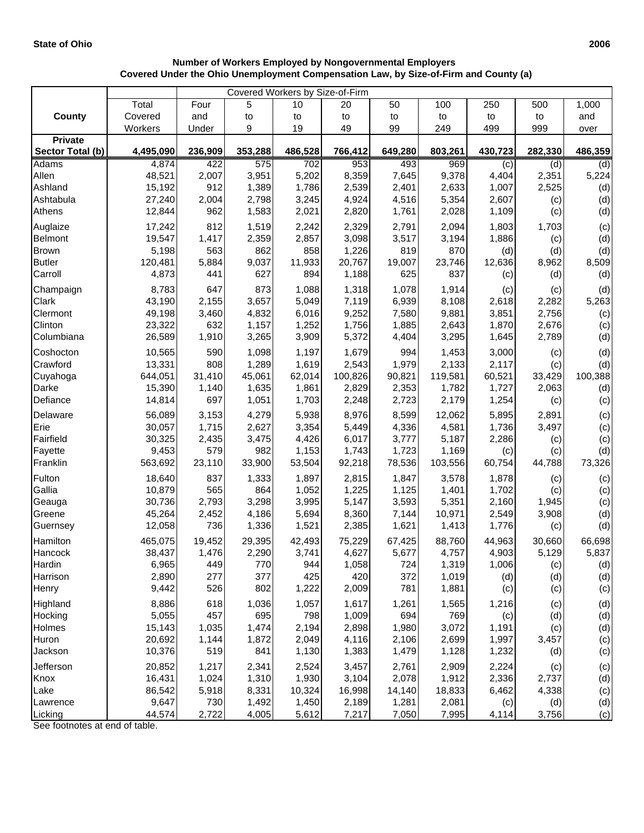## **Number of Workers Employed by Nongovernmental Employers Covered Under the Ohio Unemployment Compensation Law, by Size-of-Firm and County (a)**

| Covered Workers by Size-of-Firm |                 |              |              |              |              |                |              |                |                |              |
|---------------------------------|-----------------|--------------|--------------|--------------|--------------|----------------|--------------|----------------|----------------|--------------|
|                                 | Total           | Four         | 5            | 10           | 20           | 50             | 100          | 250            | 500            | 1,000        |
| <b>County</b>                   | Covered         | and          | to           | to           | to           | to             | to           | to             | to             | and          |
|                                 | Workers         | Under        | 9            | 19           | 49           | 99             | 249          | 499            | 999            | over         |
| <b>Private</b>                  |                 |              |              |              |              |                |              |                |                |              |
| Sector Total (b)                | 4,495,090       | 236,909      | 353,288      | 486,528      | 766,412      | 649,280        | 803,261      | 430,723        | 282,330        | 486,359      |
| Adams<br>Allen                  | 4,874<br>48,521 | 422<br>2,007 | 575<br>3,951 | 702<br>5,202 | 953<br>8,359 | 493            | 969<br>9,378 | (c)            | (d)            | (d)          |
| Ashland                         | 15,192          | 912          | 1,389        | 1,786        | 2,539        | 7,645<br>2,401 | 2,633        | 4,404<br>1,007 | 2,351<br>2,525 | 5,224<br>(d) |
| Ashtabula                       | 27,240          | 2,004        | 2,798        | 3,245        | 4,924        | 4,516          | 5,354        | 2,607          |                | (d)          |
| Athens                          | 12,844          | 962          | 1,583        | 2,021        | 2,820        | 1,761          | 2,028        | 1,109          | (c)<br>(c)     | (d)          |
| Auglaize                        | 17,242          | 812          | 1,519        | 2,242        | 2,329        | 2,791          | 2,094        | 1,803          | 1,703          |              |
| Belmont                         | 19,547          | 1,417        | 2,359        | 2,857        | 3,098        | 3,517          | 3,194        | 1,886          | (c)            | (c)<br>(d)   |
| <b>Brown</b>                    | 5,198           | 563          | 862          | 858          | 1,226        | 819            | 870          | (d)            | (d)            | (d)          |
| <b>Butler</b>                   | 120,481         | 5,884        | 9,037        | 11,933       | 20,767       | 19,007         | 23,746       | 12,636         | 8,962          | 8,509        |
| Carroll                         | 4,873           | 441          | 627          | 894          | 1,188        | 625            | 837          | (c)            | (d)            | (d)          |
| Champaign                       | 8,783           | 647          | 873          | 1,088        | 1,318        | 1,078          | 1,914        | (c)            | (c)            | (d)          |
| Clark                           | 43,190          | 2,155        | 3,657        | 5,049        | 7,119        | 6,939          | 8,108        | 2,618          | 2,282          | 5,263        |
| Clermont                        | 49,198          | 3,460        | 4,832        | 6,016        | 9,252        | 7,580          | 9,881        | 3,851          | 2,756          | (c)          |
| Clinton                         | 23,322          | 632          | 1,157        | 1,252        | 1,756        | 1,885          | 2,643        | 1,870          | 2,676          | (c)          |
| Columbiana                      | 26,589          | 1,910        | 3,265        | 3,909        | 5,372        | 4,404          | 3,295        | 1,645          | 2,789          | (d)          |
| Coshocton                       | 10,565          | 590          | 1,098        | 1,197        | 1,679        | 994            | 1,453        | 3,000          | (c)            | (d)          |
| Crawford                        | 13,331          | 808          | 1,289        | 1,619        | 2,543        | 1,979          | 2,133        | 2,117          | (c)            | (d)          |
| Cuyahoga                        | 644,051         | 31,410       | 45,061       | 62,014       | 100,826      | 90,821         | 119,581      | 60,521         | 33,429         | 100,388      |
| Darke                           | 15,390          | 1,140        | 1,635        | 1,861        | 2,829        | 2,353          | 1,782        | 1,727          | 2,063          | (d)          |
| Defiance                        | 14,814          | 697          | 1,051        | 1,703        | 2,248        | 2,723          | 2,179        | 1,254          | (c)            | (c)          |
| Delaware                        | 56,089          | 3,153        | 4,279        | 5,938        | 8,976        | 8,599          | 12,062       | 5,895          | 2,891          | (c)          |
| Erie                            | 30,057          | 1,715        | 2,627        | 3,354        | 5,449        | 4,336          | 4,581        | 1,736          | 3,497          | (c)          |
| Fairfield                       | 30,325          | 2,435        | 3,475        | 4,426        | 6,017        | 3,777          | 5,187        | 2,286          | (c)            | (c)          |
| Fayette                         | 9,453           | 579          | 982          | 1,153        | 1,743        | 1,723          | 1,169        | (c)            | (c)            | (d)          |
| Franklin                        | 563,692         | 23,110       | 33,900       | 53,504       | 92,218       | 78,536         | 103,556      | 60,754         | 44,788         | 73,326       |
| Fulton                          | 18,640          | 837          | 1,333        | 1,897        | 2,815        | 1,847          | 3,578        | 1,878          | (c)            | (c)          |
| Gallia                          | 10,879          | 565          | 864          | 1,052        | 1,225        | 1,125          | 1,401        | 1,702          | (c)            | (c)          |
| Geauga                          | 30,736          | 2,793        | 3,298        | 3,995        | 5,147        | 3,593          | 5,351        | 2,160          | 1,945          | (c)          |
| Greene                          | 45,264          | 2,452        | 4,186        | 5,694        | 8,360        | 7,144          | 10,971       | 2,549          | 3,908          | (d)          |
| Guernsey                        | 12,058          | 736          | 1,336        | 1,521        | 2,385        | 1,621          | 1,413        | 1,776          | (c)            | (d)          |
| Hamilton                        | 465,075         | 19,452       | 29,395       | 42,493       | 75,229       | 67,425         | 88,760       | 44,963         | 30,660         | 66,698       |
| Hancock                         | 38,437          | 1,476        | 2,290        | 3,741        | 4,627        | 5,677          | 4,757        | 4,903          | 5,129          | 5.837        |
| Hardin                          | 6,965           | 449          | 770          | 944          | 1,058        | 724            | 1,319        | 1,006          | (c)            | (d)          |
| Harrison                        | 2,890           | 277          | 377          | 425          | 420          | 372            | 1,019        | (d)            | (d)            | (d)          |
| Henry                           | 9,442           | 526          | 802          | 1,222        | 2,009        | 781            | 1,881        | (c)            | (c)            | (c)          |
| Highland                        | 8,886           | 618          | 1,036        | 1,057        | 1,617        | 1,261          | 1,565        | 1,216          | (c)            | (d)          |
| Hocking                         | 5,055           | 457          | 695          | 798          | 1,009        | 694            | 769          | (c)            | (d)            | (d)          |
| Holmes                          | 15,143          | 1,035        | 1,474        | 2,194        | 2,898        | 1,980          | 3,072        | 1,191          | (c)            | (d)          |
| Huron                           | 20,692          | 1,144        | 1,872        | 2,049        | 4,116        | 2,106          | 2,699        | 1,997          | 3,457          | (c)          |
| Jackson                         | 10,376          | 519          | 841          | 1,130        | 1,383        | 1,479          | 1,128        | 1,232          | (d)            | (c)          |
| Jefferson                       | 20,852          | 1,217        | 2,341        | 2,524        | 3,457        | 2,761          | 2,909        | 2,224          | (c)            | (c)          |
| Knox                            | 16,431          | 1,024        | 1,310        | 1,930        | 3,104        | 2,078          | 1,912        | 2,336          | 2,737          | (d)          |
| Lake                            | 86,542          | 5,918        | 8,331        | 10,324       | 16,998       | 14,140         | 18,833       | 6,462          | 4,338          | (c)          |
| Lawrence                        | 9,647           | 730          | 1,492        | 1,450        | 2,189        | 1,281          | 2,081        | (c)            | (d)            | (d)          |
| Licking                         | 44,574          | 2,722        | 4,005        | 5,612        | 7,217        | 7,050          | 7,995        | 4,114          | 3,756          | (c)          |

See footnotes at end of table.